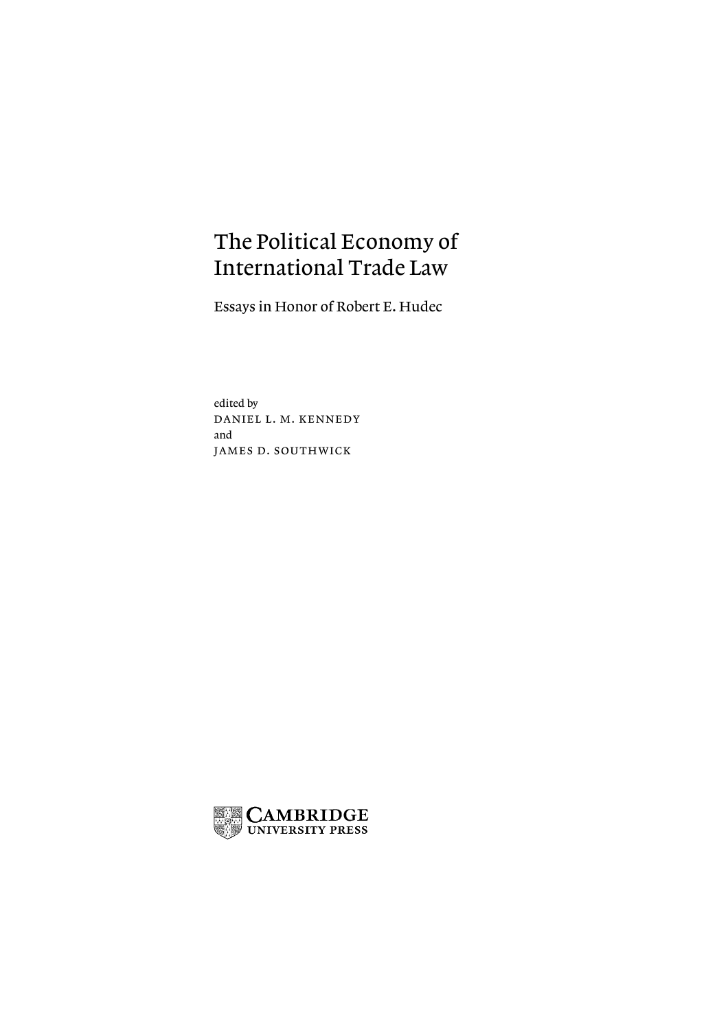# The Political Economy of International Trade Law

Essays in Honor of Robert E. Hudec

edited by DANIEL L. M. KENNEDY and JAMES D. SOUTHWICK

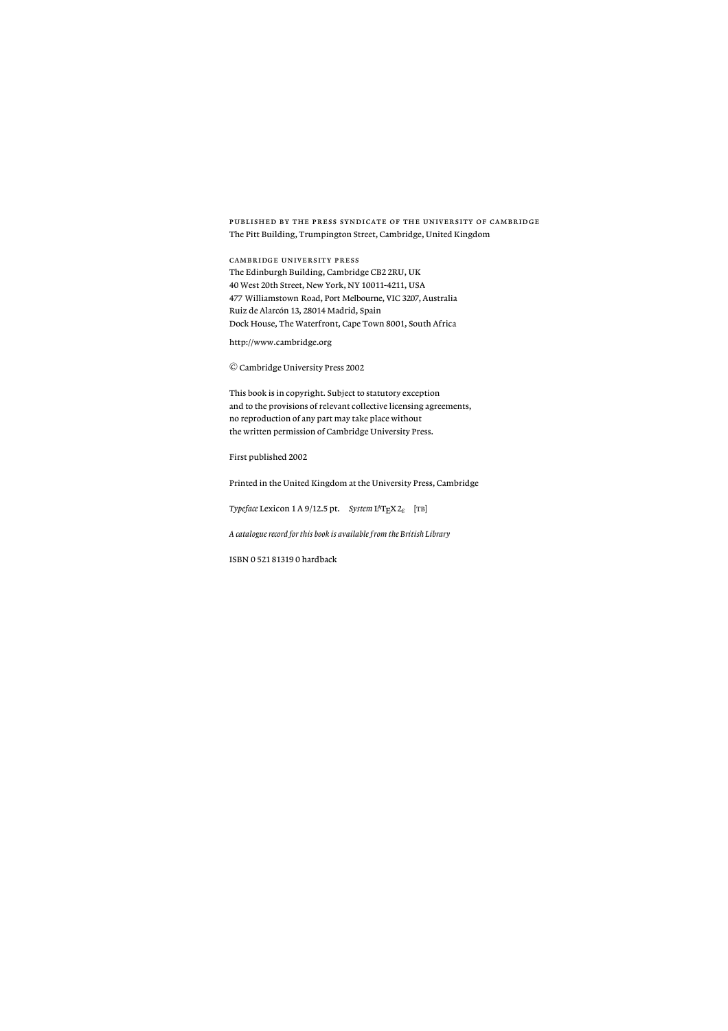published by the press syndicate of the university of cambridge The Pitt Building, Trumpington Street, Cambridge, United Kingdom

CAMBRIDGE UNIVERSITY PRESS The Edinburgh Building, Cambridge CB2 2RU, UK 40 West 20th Street, New York, NY 10011-4211, USA 477 Williamstown Road, Port Melbourne, VIC 3207, Australia Ruiz de Alarcón 13, 28014 Madrid, Spain Dock House, The Waterfront, Cape Town 8001, South Africa

http://www.cambridge.org

<sup>C</sup> Cambridge University Press 2002

This book is in copyright. Subject to statutory exception and to the provisions of relevant collective licensing agreements, no reproduction of any part may take place without the written permission of Cambridge University Press.

First published 2002

Printed in the United Kingdom at the University Press, Cambridge

*Typeface* Lexicon 1 A 9/12.5 pt. *System* L<sup>A</sup>T<sub>E</sub>X2<sub>ε</sub> [TB]

*A catalogue record for this book is available f rom the British Library*

ISBN 0 521 81319 0 hardback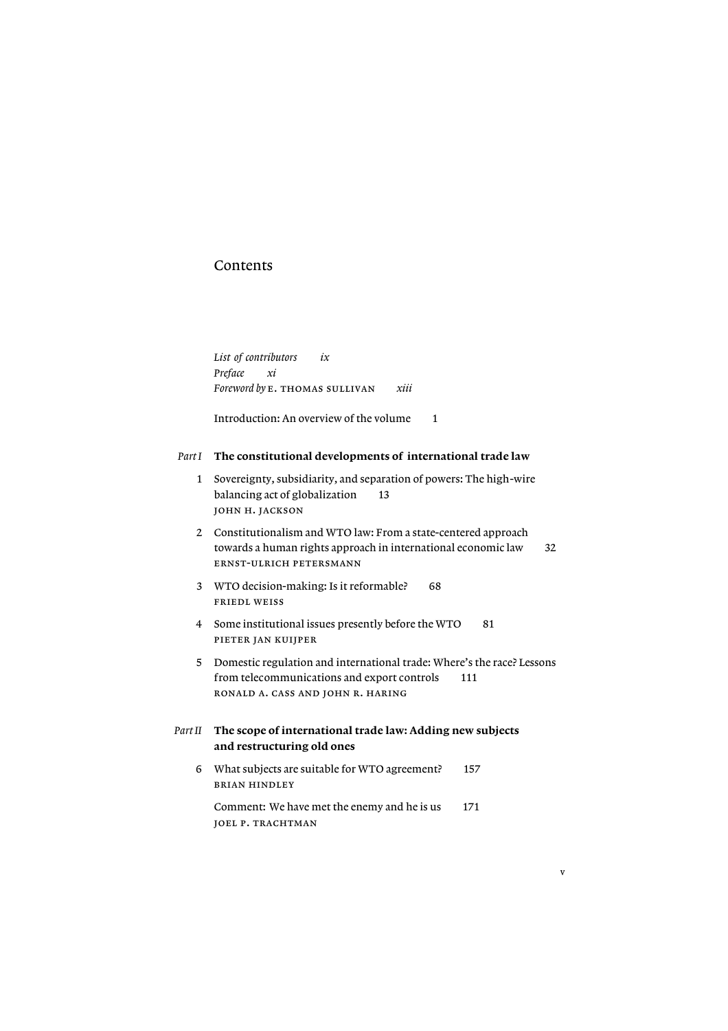# **Contents**

*List of contributors ix Preface xi Foreword by* e. thomas sullivan *xiii*

Introduction: An overview of the volume 1

## *Part I* The constitutional developments of international trade law

- 1 Sovereignty, subsidiarity, and separation of powers: The high-wire balancing act of globalization 13 john h. jackson
- 2 Constitutionalism and WTO law: From a state-centered approach towards a human rights approach in international economic law 32 ernst-ulrich petersmann
- 3 WTO decision-making: Is it reformable? 68 friedl weiss
- 4 Some institutional issues presently before the WTO 81 pieter jan kuijper
- 5 Domestic regulation and international trade: Where's the race? Lessons from telecommunications and export controls 111 ronald a. cass and john r. haring

# *Part II* The scope of international trade law: Adding new subjects and restructuring old ones

6 What subjects are suitable for WTO agreement? 157 brian hindley

Comment: We have met the enemy and he is us 171 joel p. trachtman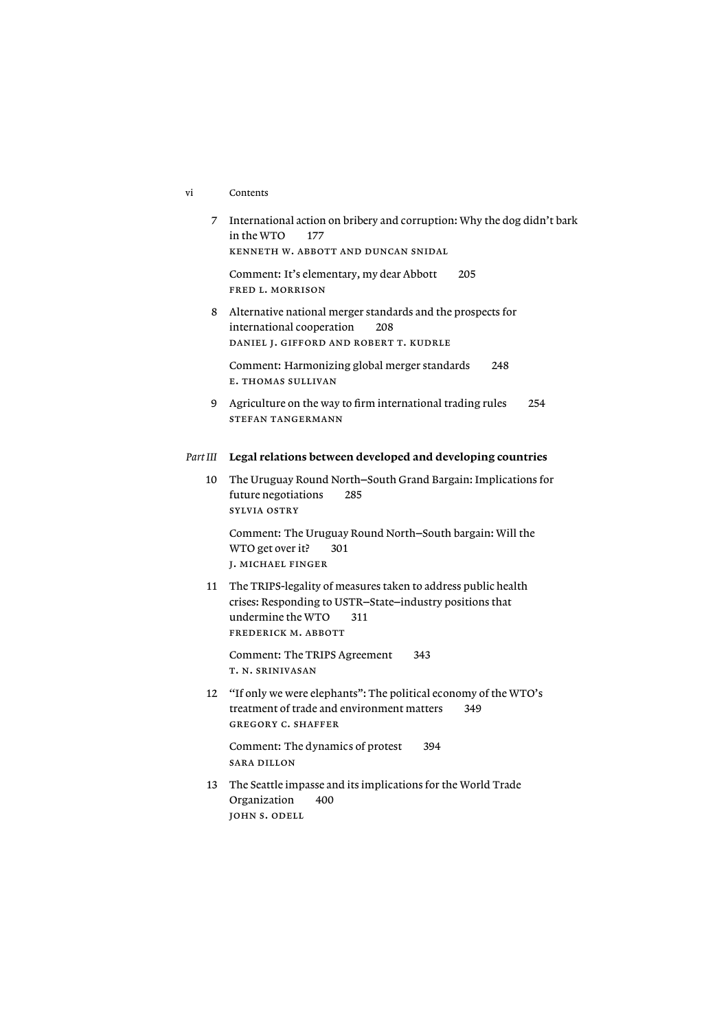- vi Contents
	- 7 International action on bribery and corruption: Why the dog didn't bark in the WTO 177 kenneth w. abbott and duncan snidal

Comment: It's elementary, my dear Abbott 205 fred l. morrison

8 Alternative national merger standards and the prospects for international cooperation 208 daniel j. gifford and robert t. kudrle

Comment: Harmonizing global merger standards 248 e. thomas sullivan

9 Agriculture on the way to firm international trading rules 254 stefan tangermann

## *Part III* Legal relations between developed and developing countries

10 The Uruguay Round North--South Grand Bargain: Implications for future negotiations 285 sylvia ostry

Comment: The Uruguay Round North-South bargain: Will the WTO get over it? 301 j. michael finger

11 The TRIPS-legality of measures taken to address public health crises: Responding to USTR-State-industry positions that undermine the WTO 311 frederick m. abbott

Comment: The TRIPS Agreement 343 t. n. srinivasan

12 ''If only we were elephants": The political economy of the WTO's treatment of trade and environment matters 349 gregory c. shaffer

Comment: The dynamics of protest 394 sara dillon

13 The Seattle impasse and its implications for the World Trade Organization 400 john s. odell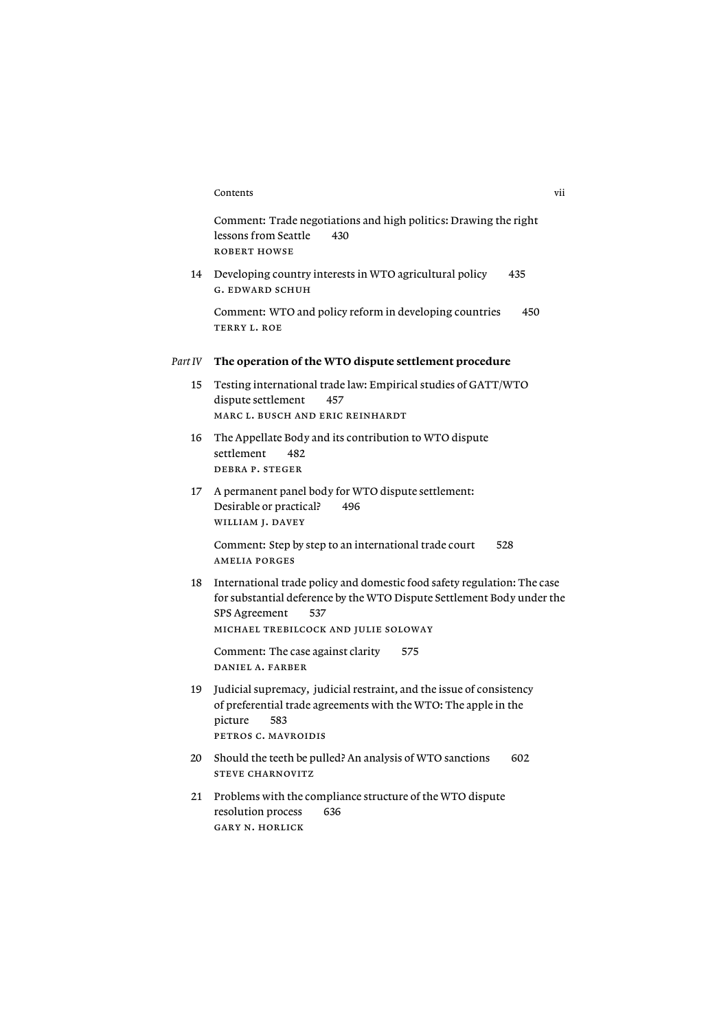#### **Contents** viii

Comment: Trade negotiations and high politics: Drawing the right lessons from Seattle 430 robert howse

14 Developing country interests in WTO agricultural policy 435 g. edward schuh

Comment: WTO and policy reform in developing countries 450 terry l. roe

## *Part IV* The operation of the WTO dispute settlement procedure

- 15 Testing international trade law: Empirical studies of GATT/WTO dispute settlement 457 marc l. busch and eric reinhardt
- 16 The Appellate Body and its contribution to WTO dispute settlement 482 debra p. steger
- 17 A permanent panel body for WTO dispute settlement: Desirable or practical? 496 william j. davey

Comment: Step by step to an international trade court 528 amelia porges

18 International trade policy and domestic food safety regulation: The case for substantial deference by the WTO Dispute Settlement Body under the SPS Agreement 537 michael trebilcock and julie soloway

Comment: The case against clarity 575 daniel a. farber

- 19 Judicial supremacy, judicial restraint, and the issue of consistency of preferential trade agreements with the WTO: The apple in the picture 583 petros c. mavroidis
- 20 Should the teeth be pulled? An analysis of WTO sanctions 602 steve charnovitz
- 21 Problems with the compliance structure of the WTO dispute resolution process 636 gary n. horlick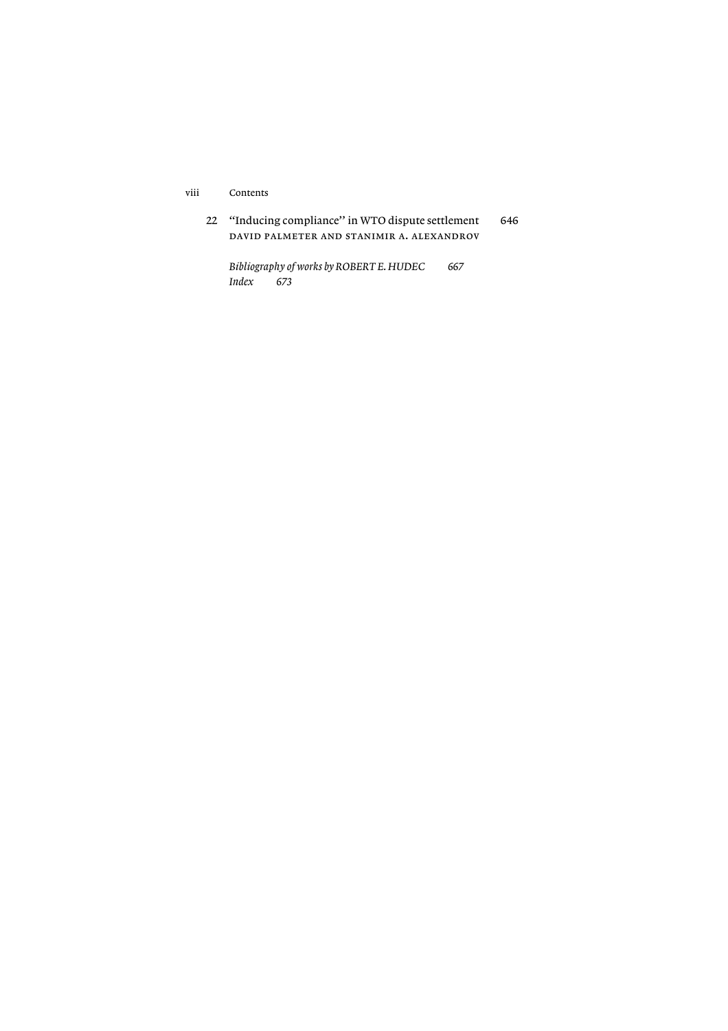# viii Contents

22 ''Inducing compliance'' in WTO dispute settlement 646 david palmeter and stanimir a. alexandrov

*Bibliography of works by ROBERT E. HUDEC 667 Index 673*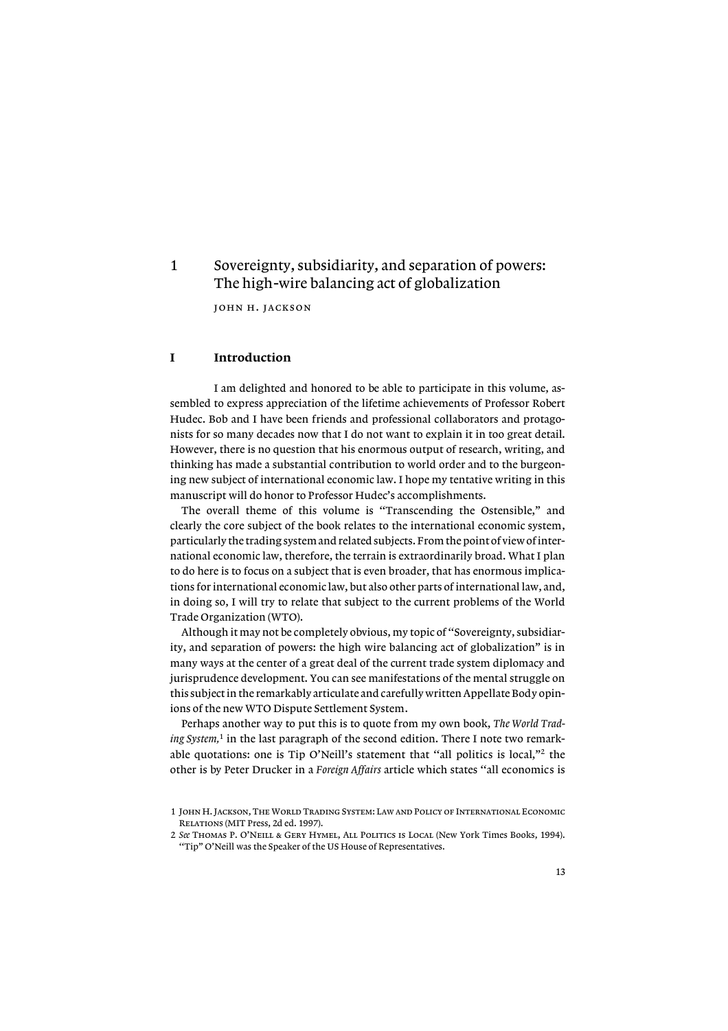# 1 Sovereignty, subsidiarity, and separation of powers: The high-wire balancing act of globalization

john h. jackson

# I Introduction

I am delighted and honored to be able to participate in this volume, assembled to express appreciation of the lifetime achievements of Professor Robert Hudec. Bob and I have been friends and professional collaborators and protagonists for so many decades now that I do not want to explain it in too great detail. However, there is no question that his enormous output of research, writing, and thinking has made a substantial contribution to world order and to the burgeoning new subject of international economic law. I hope my tentative writing in this manuscript will do honor to Professor Hudec's accomplishments.

The overall theme of this volume is ''Transcending the Ostensible," and clearly the core subject of the book relates to the international economic system, particularly the trading system and related subjects. From the point of view of international economic law, therefore, the terrain is extraordinarily broad. What I plan to do here is to focus on a subject that is even broader, that has enormous implications for international economic law, but also other parts of international law, and, in doing so, I will try to relate that subject to the current problems of the World Trade Organization (WTO).

Although it may not be completely obvious, my topic of ''Sovereignty, subsidiarity, and separation of powers: the high wire balancing act of globalization" is in many ways at the center of a great deal of the current trade system diplomacy and jurisprudence development. You can see manifestations of the mental struggle on this subject in the remarkably articulate and carefully written Appellate Body opinions of the new WTO Dispute Settlement System.

Perhaps another way to put this is to quote from my own book, *The World Trading System,*<sup>1</sup> in the last paragraph of the second edition. There I note two remarkable quotations: one is Tip O'Neill's statement that "all politics is local,"<sup>2</sup> the other is by Peter Drucker in a *Foreign Affairs* article which states ''all economics is

13

<sup>1</sup> John H. Jackson, The World Trading System: Law and Policy of International Economic Relations (MIT Press, 2d ed. 1997).

<sup>2</sup> *See* Thomas P. O'Neill & Gery Hymel, All Politics is Local (New York Times Books, 1994). ''Tip" O'Neill was the Speaker of the US House of Representatives.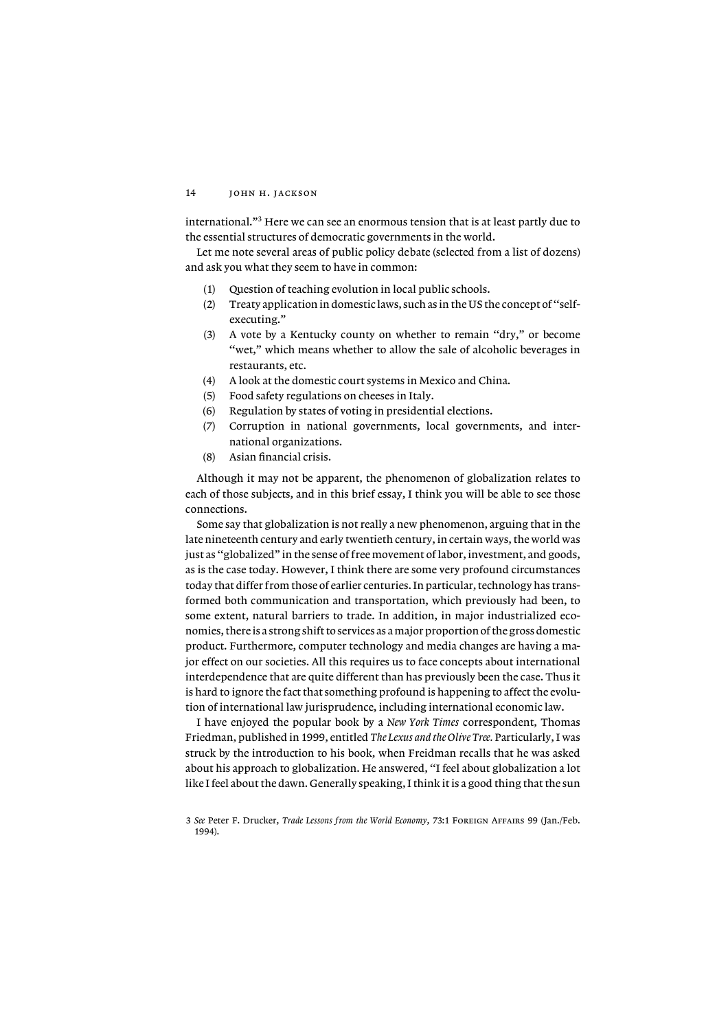international."<sup>3</sup> Here we can see an enormous tension that is at least partly due to the essential structures of democratic governments in the world.

Let me note several areas of public policy debate (selected from a list of dozens) and ask you what they seem to have in common:

- (1) Question of teaching evolution in local public schools.
- (2) Treaty application in domestic laws, such as in the US the concept of ''selfexecuting."
- (3) A vote by a Kentucky county on whether to remain ''dry," or become "wet," which means whether to allow the sale of alcoholic beverages in restaurants, etc.
- (4) A look at the domestic court systems in Mexico and China.
- (5) Food safety regulations on cheeses in Italy.
- (6) Regulation by states of voting in presidential elections.
- (7) Corruption in national governments, local governments, and international organizations.
- (8) Asian financial crisis.

Although it may not be apparent, the phenomenon of globalization relates to each of those subjects, and in this brief essay, I think you will be able to see those connections.

Some say that globalization is not really a new phenomenon, arguing that in the late nineteenth century and early twentieth century, in certain ways, the world was just as ''globalized" in the sense of free movement of labor, investment, and goods, as is the case today. However, I think there are some very profound circumstances today that differ from those of earlier centuries. In particular, technology has transformed both communication and transportation, which previously had been, to some extent, natural barriers to trade. In addition, in major industrialized economies, there is a strong shift to services as amajor proportion of the gross domestic product. Furthermore, computer technology and media changes are having a major effect on our societies. All this requires us to face concepts about international interdependence that are quite different than has previously been the case. Thus it is hard to ignore the fact that something profound is happening to affect the evolution of international law jurisprudence, including international economic law.

I have enjoyed the popular book by a *New York Times* correspondent, Thomas Friedman, published in 1999, entitled *The Lexus and the Olive Tree.* Particularly, I was struck by the introduction to his book, when Freidman recalls that he was asked about his approach to globalization. He answered, ''I feel about globalization a lot like I feel about the dawn. Generally speaking, I think it is a good thing that the sun

<sup>3</sup> See Peter F. Drucker, *Trade Lessons from the World Economy*, 73:1 FOREIGN AFFAIRS 99 (Jan./Feb. 1994).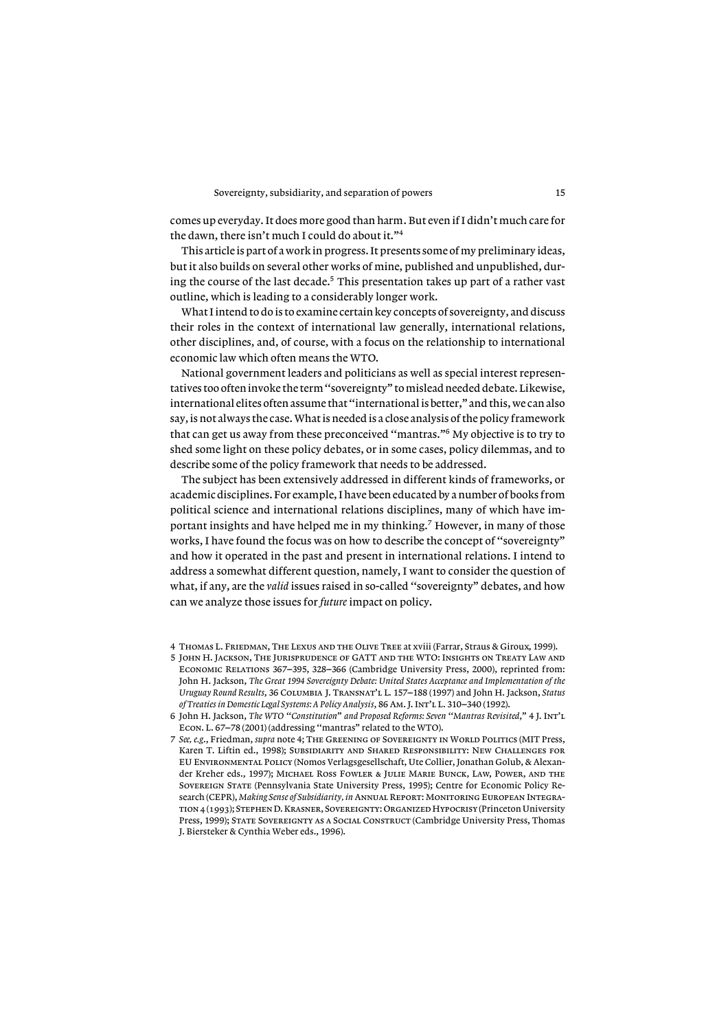comes up everyday. It does more good than harm. But even if I didn't much care for the dawn, there isn't much I could do about it."<sup>4</sup>

This article is part of a work in progress. It presents some of my preliminary ideas, but it also builds on several other works of mine, published and unpublished, during the course of the last decade.<sup>5</sup> This presentation takes up part of a rather vast outline, which is leading to a considerably longer work.

What I intend to do is to examine certain key concepts of sovereignty, and discuss their roles in the context of international law generally, international relations, other disciplines, and, of course, with a focus on the relationship to international economic law which often means the WTO.

National government leaders and politicians as well as special interest representatives too often invoke the term ''sovereignty" tomislead needed debate. Likewise, international elites often assume that''international is better," and this, we can also say, is not always the case.What is needed is a close analysis of the policy framework that can get us away from these preconceived ''mantras."<sup>6</sup> My objective is to try to shed some light on these policy debates, or in some cases, policy dilemmas, and to describe some of the policy framework that needs to be addressed.

The subject has been extensively addressed in different kinds of frameworks, or academic disciplines. For example, I have been educated by a number of books from political science and international relations disciplines, many of which have important insights and have helped me in my thinking.<sup>7</sup> However, in many of those works, I have found the focus was on how to describe the concept of ''sovereignty" and how it operated in the past and present in international relations. I intend to address a somewhat different question, namely, I want to consider the question of what, if any, are the *valid* issues raised in so-called ''sovereignty" debates, and how can we analyze those issues for *future* impact on policy.

4 Thomas L. Friedman, The Lexus and the Olive Tree at xviii (Farrar, Straus & Giroux, 1999).

5 John H. Jackson, The Jurisprudence of GATT and the WTO: Insights on Treaty Law and ECONOMIC RELATIONS 367-395, 328-366 (Cambridge University Press, 2000), reprinted from: John H. Jackson, *The Great 1994 Sovereignty Debate: United States Acceptance and Implementation of the Uruguay Round Results*, 36 Columbia J. Transnat'l L. 157--188 (1997) and John H. Jackson, *Status of Treaties in Domestic Legal Systems: A Policy Analysis*, 86 Am. J. Int'l L. 310--340 (1992).

<sup>6</sup> John H. Jackson, *The WTO* ''*Constitution*" *and Proposed Reforms: Seven* ''*Mantras Revisited*," 4 J. Int'l ECON. L. 67-78 (2001) (addressing "mantras" related to the WTO).

<sup>7</sup> *See, e.g*., Friedman, *supra* note 4; The Greening of Sovereignty in World Politics (MIT Press, Karen T. Liftin ed., 1998); Subsidiarity and Shared Responsibility: New Challenges for EU Environmental Policy (Nomos Verlagsgesellschaft, Ute Collier, Jonathan Golub, & Alexander Kreher eds., 1997); Michael Ross Fowler & Julie Marie Bunck, Law, Power, and the Sovereign State (Pennsylvania State University Press, 1995); Centre for Economic Policy Research (CEPR), *Making Sense of Subsidiarity, in* Annual Report: Monitoring European Integration 4 (1993); Stephen D. Krasner, Sovereignty: Organized Hypocrisy (Princeton University Press, 1999); State Sovereignty as a Social Construct (Cambridge University Press, Thomas J. Biersteker & Cynthia Weber eds., 1996).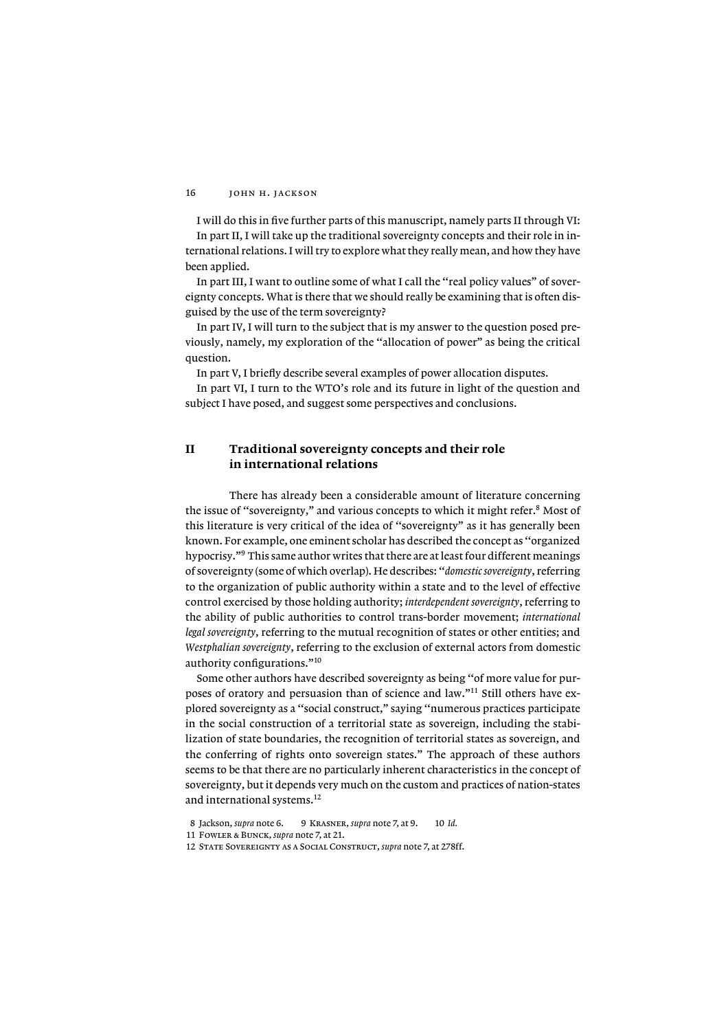I will do this in five further parts of this manuscript, namely parts II through VI:

In part II, I will take up the traditional sovereignty concepts and their role in international relations. I will try to explore what they really mean, and how they have been applied.

In part III, I want to outline some of what I call the ''real policy values" of sovereignty concepts. What is there that we should really be examining that is often disguised by the use of the term sovereignty?

In part IV, I will turn to the subject that is my answer to the question posed previously, namely, my exploration of the ''allocation of power" as being the critical question.

In part V, I briefly describe several examples of power allocation disputes.

In part VI, I turn to the WTO's role and its future in light of the question and subject I have posed, and suggest some perspectives and conclusions.

# II Traditional sovereignty concepts and their role in international relations

There has already been a considerable amount of literature concerning the issue of "sovereignty," and various concepts to which it might refer. $8$  Most of this literature is very critical of the idea of ''sovereignty" as it has generally been known. For example, one eminent scholar has described the concept as ''organized hypocrisy."<sup>9</sup> This same author writes that there are at least four different meanings of sovereignty (some of which overlap). He describes: ''*domestic sovereignty*, referring to the organization of public authority within a state and to the level of effective control exercised by those holding authority; *interdependent sovereignty*, referring to the ability of public authorities to control trans-border movement; *international legal sovereignty*, referring to the mutual recognition of states or other entities; and *Westphalian sovereignty*, referring to the exclusion of external actors from domestic authority configurations."<sup>10</sup>

Some other authors have described sovereignty as being ''of more value for purposes of oratory and persuasion than of science and law."<sup>11</sup> Still others have explored sovereignty as a ''social construct," saying ''numerous practices participate in the social construction of a territorial state as sovereign, including the stabilization of state boundaries, the recognition of territorial states as sovereign, and the conferring of rights onto sovereign states." The approach of these authors seems to be that there are no particularly inherent characteristics in the concept of sovereignty, but it depends very much on the custom and practices of nation-states and international systems.<sup>12</sup>

<sup>8</sup> Jackson, *supra* note 6. 9 Krasner, *supra* note 7, at 9. 10 *Id.*

<sup>11</sup> Fowler & Bunck, *supra* note 7, at 21.

<sup>12</sup> State Sovereignty as a Social Construct, *supra* note 7, at 278ff.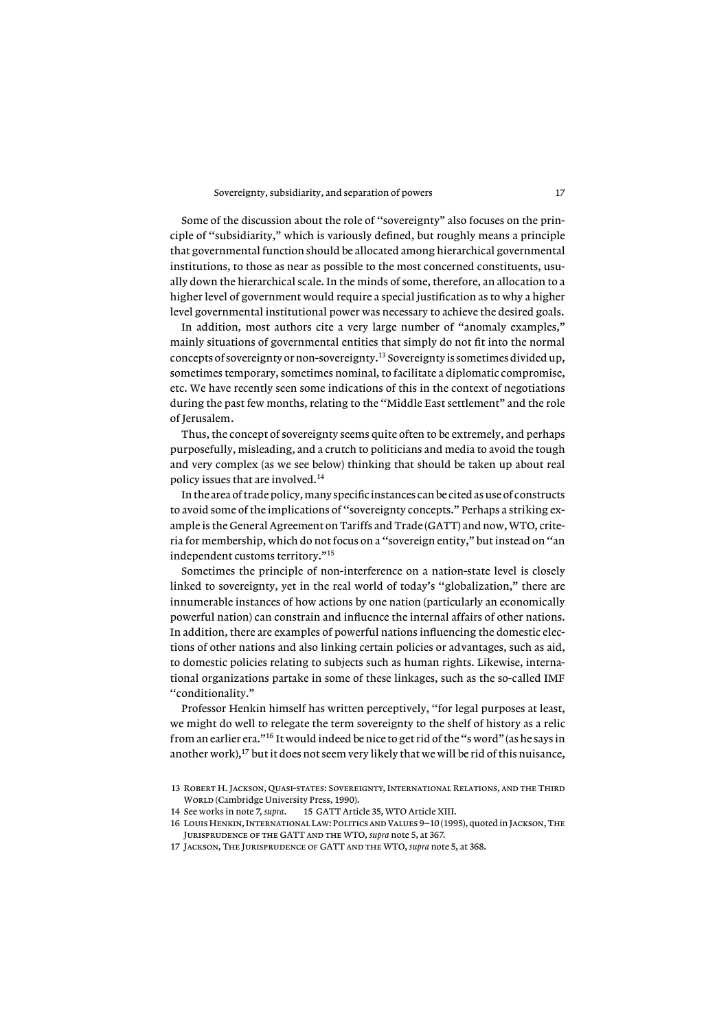Some of the discussion about the role of ''sovereignty" also focuses on the principle of ''subsidiarity," which is variously defined, but roughly means a principle that governmental function should be allocated among hierarchical governmental institutions, to those as near as possible to the most concerned constituents, usually down the hierarchical scale. In the minds of some, therefore, an allocation to a higher level of government would require a special justification as to why a higher level governmental institutional power was necessary to achieve the desired goals.

In addition, most authors cite a very large number of ''anomaly examples," mainly situations of governmental entities that simply do not fit into the normal concepts of sovereignty or non-sovereignty.<sup>13</sup> Sovereignty is sometimes divided up, sometimes temporary, sometimes nominal, to facilitate a diplomatic compromise, etc. We have recently seen some indications of this in the context of negotiations during the past few months, relating to the ''Middle East settlement" and the role of Jerusalem.

Thus, the concept of sovereignty seems quite often to be extremely, and perhaps purposefully, misleading, and a crutch to politicians and media to avoid the tough and very complex (as we see below) thinking that should be taken up about real policy issues that are involved.<sup>14</sup>

In the area of trade policy, many specific instances can be cited as use of constructs to avoid some of the implications of ''sovereignty concepts." Perhaps a striking example is the General Agreement on Tariffs and Trade (GATT) and now, WTO, criteria for membership, which do not focus on a ''sovereign entity," but instead on ''an independent customs territory."<sup>15</sup>

Sometimes the principle of non-interference on a nation-state level is closely linked to sovereignty, yet in the real world of today's ''globalization," there are innumerable instances of how actions by one nation (particularly an economically powerful nation) can constrain and influence the internal affairs of other nations. In addition, there are examples of powerful nations influencing the domestic elections of other nations and also linking certain policies or advantages, such as aid, to domestic policies relating to subjects such as human rights. Likewise, international organizations partake in some of these linkages, such as the so-called IMF "conditionality."

Professor Henkin himself has written perceptively, ''for legal purposes at least, we might do well to relegate the term sovereignty to the shelf of history as a relic from an earlier era."<sup>16</sup> It would indeed be nice to get rid of the ''s word" (as he says in another work),<sup>17</sup> but it does not seem very likely that we will be rid of this nuisance,

<sup>13</sup> Robert H. Jackson, Quasi-states: Sovereignty, International Relations, and the Third WORLD (Cambridge University Press, 1990).

<sup>14</sup> See works in note 7, *supra*. 15 GATT Article 35, WTO Article XIII.

<sup>16</sup> Louis Henkin, International Law: Politics and Values 9--10 (1995), quoted inJackson, The Jurisprudence of the GATT and the WTO, *supra* note 5, at 367.

<sup>17</sup> Jackson, The Jurisprudence of GATT and the WTO, *supra* note 5, at 368.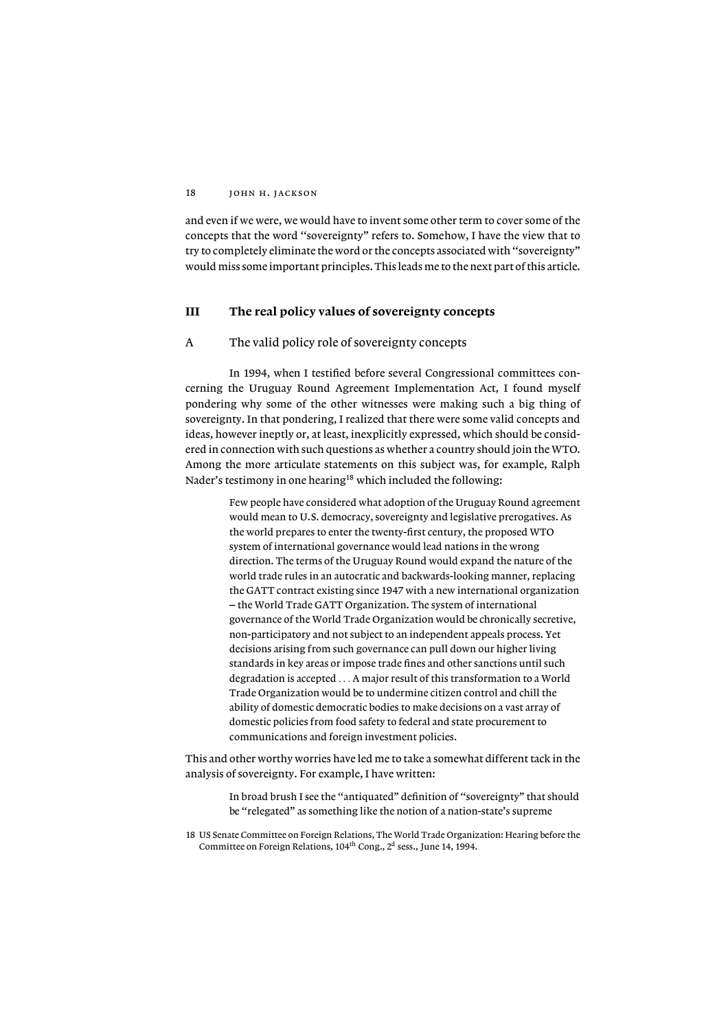#### 18 **JOHN H. JACKSON**

and even if we were, we would have to invent some other term to cover some of the concepts that the word ''sovereignty" refers to. Somehow, I have the view that to try to completely eliminate the word or the concepts associated with ''sovereignty" would miss some important principles. This leads me to the next part of this article.

# III The real policy values of sovereignty concepts

# A The valid policy role of sovereignty concepts

In 1994, when I testified before several Congressional committees concerning the Uruguay Round Agreement Implementation Act, I found myself pondering why some of the other witnesses were making such a big thing of sovereignty. In that pondering, I realized that there were some valid concepts and ideas, however ineptly or, at least, inexplicitly expressed, which should be considered in connection with such questions as whether a country should join the WTO. Among the more articulate statements on this subject was, for example, Ralph Nader's testimony in one hearing<sup>18</sup> which included the following:

> Few people have considered what adoption of the Uruguay Round agreement would mean to U.S. democracy, sovereignty and legislative prerogatives. As the world prepares to enter the twenty-first century, the proposed WTO system of international governance would lead nations in the wrong direction. The terms of the Uruguay Round would expand the nature of the world trade rules in an autocratic and backwards-looking manner, replacing the GATT contract existing since 1947 with a new international organization -- the World Trade GATT Organization. The system of international governance of the World Trade Organization would be chronically secretive, non-participatory and not subject to an independent appeals process. Yet decisions arising from such governance can pull down our higher living standards in key areas or impose trade fines and other sanctions until such degradation is accepted *...* A major result of this transformation to a World Trade Organization would be to undermine citizen control and chill the ability of domestic democratic bodies to make decisions on a vast array of domestic policies from food safety to federal and state procurement to communications and foreign investment policies.

This and other worthy worries have led me to take a somewhat different tack in the analysis of sovereignty. For example, I have written:

> In broad brush I see the ''antiquated" definition of ''sovereignty" that should be ''relegated" as something like the notion of a nation-state's supreme

<sup>18</sup> US Senate Committee on Foreign Relations, The World Trade Organization: Hearing before the Committee on Foreign Relations,  $104<sup>th</sup>$  Cong.,  $2<sup>d</sup>$  sess., June 14, 1994.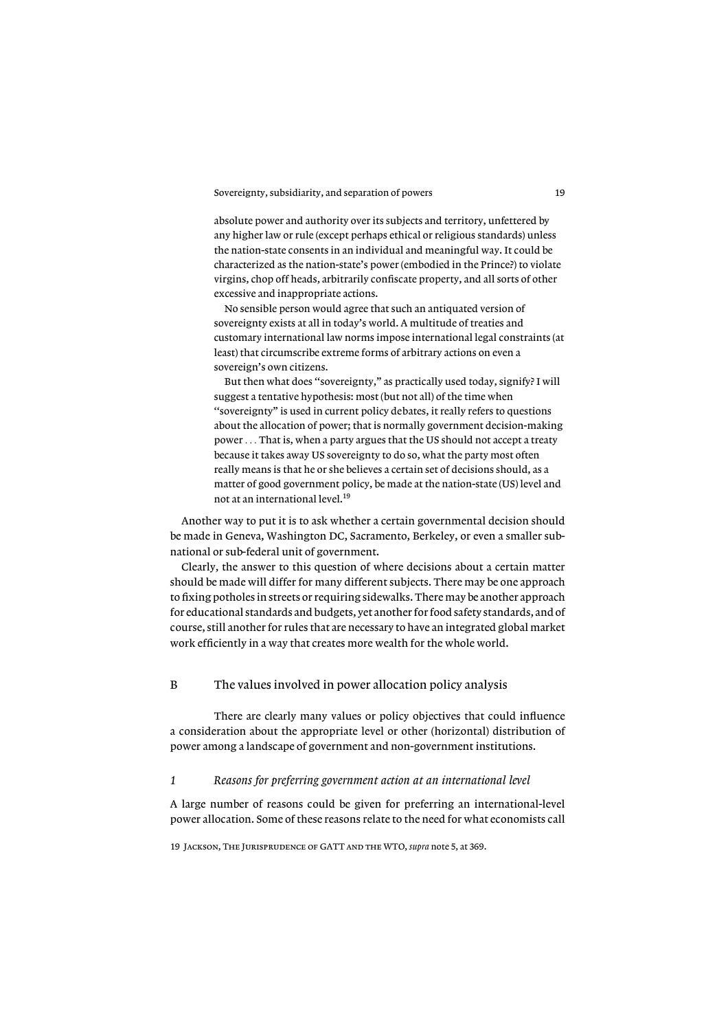absolute power and authority over its subjects and territory, unfettered by any higher law or rule (except perhaps ethical or religious standards) unless the nation-state consents in an individual and meaningful way. It could be characterized as the nation-state's power (embodied in the Prince?) to violate virgins, chop off heads, arbitrarily confiscate property, and all sorts of other excessive and inappropriate actions.

No sensible person would agree that such an antiquated version of sovereignty exists at all in today's world. A multitude of treaties and customary international law norms impose international legal constraints (at least) that circumscribe extreme forms of arbitrary actions on even a sovereign's own citizens.

But then what does ''sovereignty," as practically used today, signify? I will suggest a tentative hypothesis: most (but not all) of the time when ''sovereignty" is used in current policy debates, it really refers to questions about the allocation of power; that is normally government decision-making power *...* That is, when a party argues that the US should not accept a treaty because it takes away US sovereignty to do so, what the party most often really means is that he or she believes a certain set of decisions should, as a matter of good government policy, be made at the nation-state (US) level and not at an international level.<sup>19</sup>

Another way to put it is to ask whether a certain governmental decision should be made in Geneva, Washington DC, Sacramento, Berkeley, or even a smaller subnational or sub-federal unit of government.

Clearly, the answer to this question of where decisions about a certain matter should be made will differ for many different subjects. There may be one approach to fixing potholes in streets or requiring sidewalks. There may be another approach for educational standards and budgets, yet another for food safety standards, and of course, still another for rules that are necessary to have an integrated global market work efficiently in a way that creates more wealth for the whole world.

# B The values involved in power allocation policy analysis

There are clearly many values or policy objectives that could influence a consideration about the appropriate level or other (horizontal) distribution of power among a landscape of government and non-government institutions.

#### *1 Reasons for preferring government action at an international level*

A large number of reasons could be given for preferring an international-level power allocation. Some of these reasons relate to the need for what economists call

19 Jackson, The Jurisprudence of GATT and the WTO, *supra* note 5, at 369.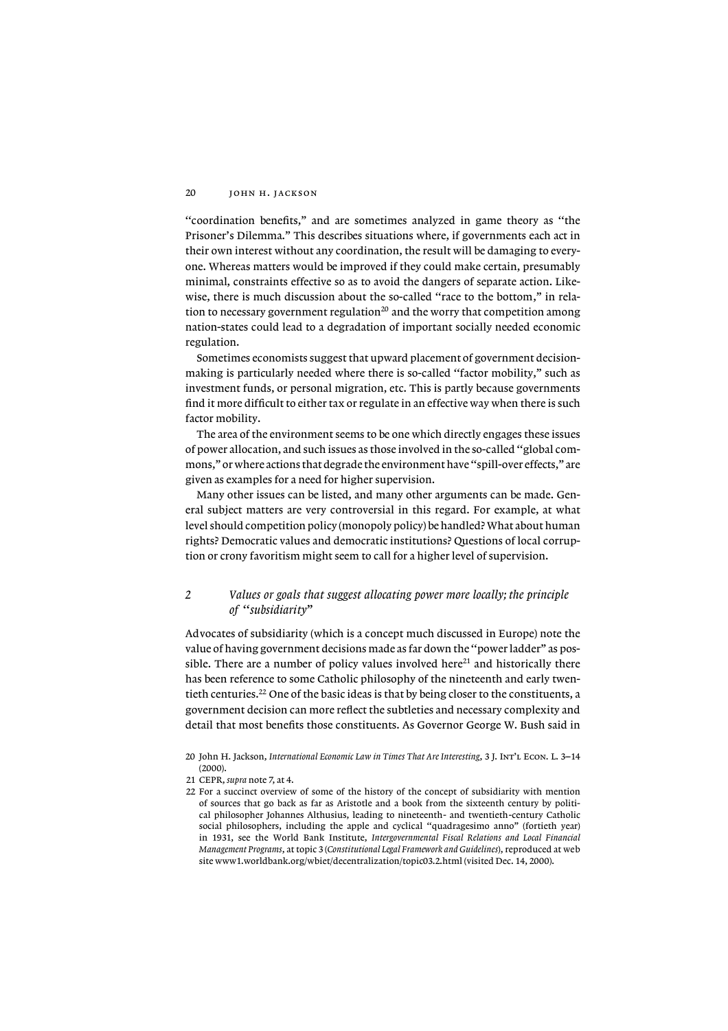''coordination benefits," and are sometimes analyzed in game theory as ''the Prisoner's Dilemma." This describes situations where, if governments each act in their own interest without any coordination, the result will be damaging to everyone. Whereas matters would be improved if they could make certain, presumably minimal, constraints effective so as to avoid the dangers of separate action. Likewise, there is much discussion about the so-called "race to the bottom," in relation to necessary government regulation<sup>20</sup> and the worry that competition among nation-states could lead to a degradation of important socially needed economic regulation.

Sometimes economists suggest that upward placement of government decisionmaking is particularly needed where there is so-called ''factor mobility," such as investment funds, or personal migration, etc. This is partly because governments find it more difficult to either tax or regulate in an effective way when there is such factor mobility.

The area of the environment seems to be one which directly engages these issues of power allocation, and such issues as those involved in the so-called ''global commons," or where actions that degrade the environment have ''spill-over effects," are given as examples for a need for higher supervision.

Many other issues can be listed, and many other arguments can be made. General subject matters are very controversial in this regard. For example, at what level should competition policy (monopoly policy) be handled? What about human rights? Democratic values and democratic institutions? Questions of local corruption or crony favoritism might seem to call for a higher level of supervision.

# *2 Values or goals that suggest allocating power more locally; the principle of* ''*subsidiarity*"

Advocates of subsidiarity (which is a concept much discussed in Europe) note the value of having government decisions made as far down the ''power ladder" as possible. There are a number of policy values involved here $^{21}$  and historically there has been reference to some Catholic philosophy of the nineteenth and early twentieth centuries.<sup>22</sup> One of the basic ideas is that by being closer to the constituents, a government decision can more reflect the subtleties and necessary complexity and detail that most benefits those constituents. As Governor George W. Bush said in

<sup>20</sup> John H. Jackson, *International Economic Law in Times That Are Interesting*, 3 J. Int'l Econ. L. 3--14 (2000).

<sup>21</sup> CEPR, *supra* note 7, at 4.

<sup>22</sup> For a succinct overview of some of the history of the concept of subsidiarity with mention of sources that go back as far as Aristotle and a book from the sixteenth century by political philosopher Johannes Althusius, leading to nineteenth- and twentieth-century Catholic social philosophers, including the apple and cyclical ''quadragesimo anno" (fortieth year) in 1931, see the World Bank Institute, *Intergovernmental Fiscal Relations and Local Financial Management Programs*, at topic 3(*Constitutional Legal Framework and Guidelines*), reproduced at web site www1.worldbank.org/wbiet/decentralization/topic03.2.html (visited Dec. 14, 2000).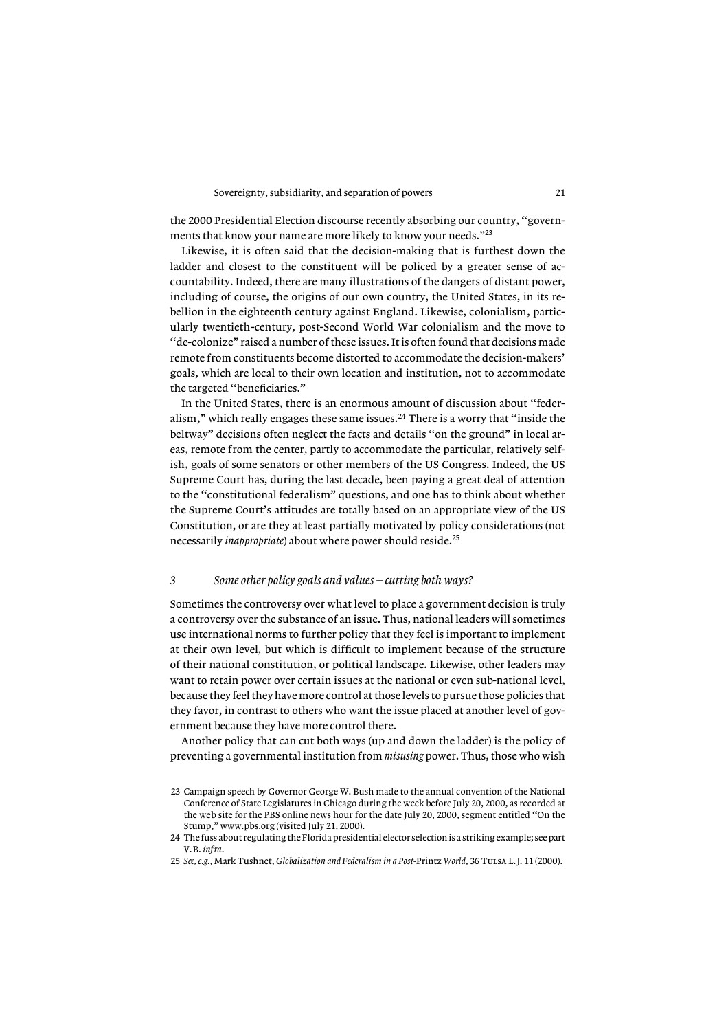the 2000 Presidential Election discourse recently absorbing our country, ''governments that know your name are more likely to know your needs."<sup>23</sup>

Likewise, it is often said that the decision-making that is furthest down the ladder and closest to the constituent will be policed by a greater sense of accountability. Indeed, there are many illustrations of the dangers of distant power, including of course, the origins of our own country, the United States, in its rebellion in the eighteenth century against England. Likewise, colonialism, particularly twentieth-century, post-Second World War colonialism and the move to ''de-colonize" raised a number of these issues. It is often found that decisions made remote from constituents become distorted to accommodate the decision-makers' goals, which are local to their own location and institution, not to accommodate the targeted ''beneficiaries."

In the United States, there is an enormous amount of discussion about ''federalism," which really engages these same issues.<sup>24</sup> There is a worry that "inside the beltway" decisions often neglect the facts and details ''on the ground" in local areas, remote from the center, partly to accommodate the particular, relatively selfish, goals of some senators or other members of the US Congress. Indeed, the US Supreme Court has, during the last decade, been paying a great deal of attention to the ''constitutional federalism" questions, and one has to think about whether the Supreme Court's attitudes are totally based on an appropriate view of the US Constitution, or are they at least partially motivated by policy considerations (not necessarily *inappropriate*) about where power should reside.<sup>25</sup>

## 3 **Some other policy goals and values – cutting both ways?**

Sometimes the controversy over what level to place a government decision is truly a controversy over the substance of an issue. Thus, national leaders will sometimes use international norms to further policy that they feel is important to implement at their own level, but which is difficult to implement because of the structure of their national constitution, or political landscape. Likewise, other leaders may want to retain power over certain issues at the national or even sub-national level, because they feel they have more control at those levels to pursue those policies that they favor, in contrast to others who want the issue placed at another level of government because they have more control there.

Another policy that can cut both ways (up and down the ladder) is the policy of preventing a governmental institution from *misusing* power. Thus, those who wish

<sup>23</sup> Campaign speech by Governor George W. Bush made to the annual convention of the National Conference of State Legislatures in Chicago during the week before July 20, 2000, as recorded at the web site for the PBS online news hour for the date July 20, 2000, segment entitled ''On the Stump," www.pbs.org (visited July 21, 2000).

<sup>24</sup> The fuss about regulating the Florida presidential elector selection is a striking example; see part V.B. *inf ra*.

<sup>25</sup> *See, e.g.*, Mark Tushnet, *Globalization and Federalism in a Post-*Printz *World*, 36 Tulsa L. J. 11(2000).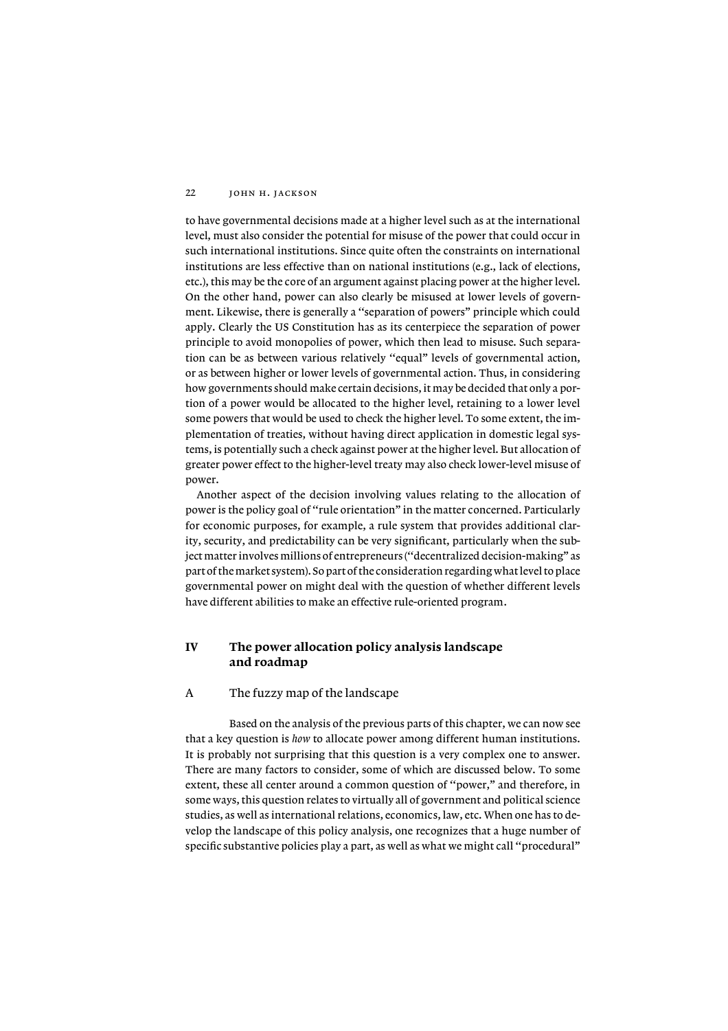to have governmental decisions made at a higher level such as at the international level, must also consider the potential for misuse of the power that could occur in such international institutions. Since quite often the constraints on international institutions are less effective than on national institutions (e.g., lack of elections, etc.), this may be the core of an argument against placing power at the higher level. On the other hand, power can also clearly be misused at lower levels of government. Likewise, there is generally a ''separation of powers" principle which could apply. Clearly the US Constitution has as its centerpiece the separation of power principle to avoid monopolies of power, which then lead to misuse. Such separation can be as between various relatively ''equal" levels of governmental action, or as between higher or lower levels of governmental action. Thus, in considering how governments should make certain decisions, it may be decided that only a portion of a power would be allocated to the higher level, retaining to a lower level some powers that would be used to check the higher level. To some extent, the implementation of treaties, without having direct application in domestic legal systems, is potentially such a check against power at the higher level. But allocation of greater power effect to the higher-level treaty may also check lower-level misuse of power.

Another aspect of the decision involving values relating to the allocation of power is the policy goal of ''rule orientation" in the matter concerned. Particularly for economic purposes, for example, a rule system that provides additional clarity, security, and predictability can be very significant, particularly when the subject matter involves millions of entrepreneurs ("decentralized decision-making" as part of themarket system). So part of the consideration regarding what level to place governmental power on might deal with the question of whether different levels have different abilities to make an effective rule-oriented program.

# IV The power allocation policy analysis landscape and roadmap

## A The fuzzy map of the landscape

Based on the analysis of the previous parts of this chapter, we can now see that a key question is *how* to allocate power among different human institutions. It is probably not surprising that this question is a very complex one to answer. There are many factors to consider, some of which are discussed below. To some extent, these all center around a common question of ''power," and therefore, in some ways, this question relates to virtually all of government and political science studies, as well as international relations, economics, law, etc. When one has to develop the landscape of this policy analysis, one recognizes that a huge number of specific substantive policies play a part, as well as what we might call ''procedural"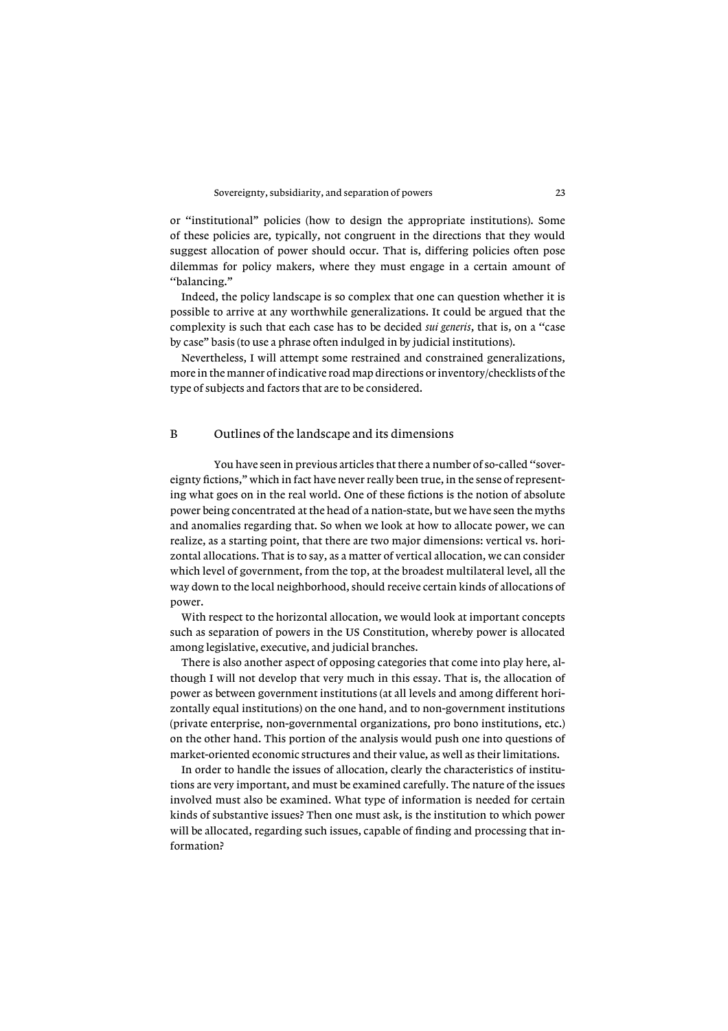or ''institutional" policies (how to design the appropriate institutions). Some of these policies are, typically, not congruent in the directions that they would suggest allocation of power should occur. That is, differing policies often pose dilemmas for policy makers, where they must engage in a certain amount of ''balancing."

Indeed, the policy landscape is so complex that one can question whether it is possible to arrive at any worthwhile generalizations. It could be argued that the complexity is such that each case has to be decided *sui generis*, that is, on a ''case by case" basis (to use a phrase often indulged in by judicial institutions).

Nevertheless, I will attempt some restrained and constrained generalizations, more in the manner of indicative road map directions or inventory/checklists of the type of subjects and factors that are to be considered.

## B Outlines of the landscape and its dimensions

You have seen in previous articles that there a number of so-called ''sovereignty fictions," which in fact have never really been true, in the sense of representing what goes on in the real world. One of these fictions is the notion of absolute power being concentrated at the head of a nation-state, but we have seen the myths and anomalies regarding that. So when we look at how to allocate power, we can realize, as a starting point, that there are two major dimensions: vertical vs. horizontal allocations. That is to say, as a matter of vertical allocation, we can consider which level of government, from the top, at the broadest multilateral level, all the way down to the local neighborhood, should receive certain kinds of allocations of power.

With respect to the horizontal allocation, we would look at important concepts such as separation of powers in the US Constitution, whereby power is allocated among legislative, executive, and judicial branches.

There is also another aspect of opposing categories that come into play here, although I will not develop that very much in this essay. That is, the allocation of power as between government institutions (at all levels and among different horizontally equal institutions) on the one hand, and to non-government institutions (private enterprise, non-governmental organizations, pro bono institutions, etc.) on the other hand. This portion of the analysis would push one into questions of market-oriented economic structures and their value, as well as their limitations.

In order to handle the issues of allocation, clearly the characteristics of institutions are very important, and must be examined carefully. The nature of the issues involved must also be examined. What type of information is needed for certain kinds of substantive issues? Then one must ask, is the institution to which power will be allocated, regarding such issues, capable of finding and processing that information?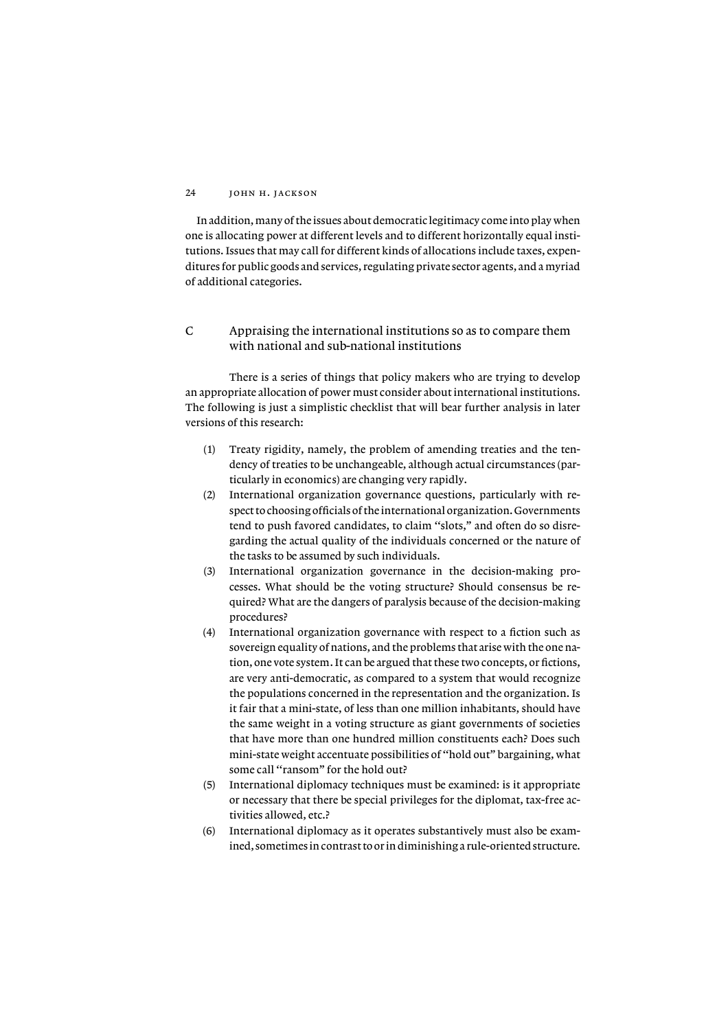In addition,many of the issues about democratic legitimacy come into play when one is allocating power at different levels and to different horizontally equal institutions. Issues that may call for different kinds of allocations include taxes, expenditures for public goods and services, regulating private sector agents, and amyriad of additional categories.

# C Appraising the international institutions so as to compare them with national and sub-national institutions

There is a series of things that policy makers who are trying to develop an appropriate allocation of power must consider about international institutions. The following is just a simplistic checklist that will bear further analysis in later versions of this research:

- (1) Treaty rigidity, namely, the problem of amending treaties and the tendency of treaties to be unchangeable, although actual circumstances (particularly in economics) are changing very rapidly.
- (2) International organization governance questions, particularly with respect to choosing officials of the international organization. Governments tend to push favored candidates, to claim ''slots," and often do so disregarding the actual quality of the individuals concerned or the nature of the tasks to be assumed by such individuals.
- (3) International organization governance in the decision-making processes. What should be the voting structure? Should consensus be required? What are the dangers of paralysis because of the decision-making procedures?
- (4) International organization governance with respect to a fiction such as sovereign equality of nations, and the problems that arise with the one nation, one vote system. It can be argued that these two concepts, or fictions, are very anti-democratic, as compared to a system that would recognize the populations concerned in the representation and the organization. Is it fair that a mini-state, of less than one million inhabitants, should have the same weight in a voting structure as giant governments of societies that have more than one hundred million constituents each? Does such mini-state weight accentuate possibilities of ''hold out" bargaining, what some call "ransom" for the hold out?
- (5) International diplomacy techniques must be examined: is it appropriate or necessary that there be special privileges for the diplomat, tax-free activities allowed, etc.?
- (6) International diplomacy as it operates substantively must also be examined, sometimes in contrast to or in diminishing a rule-oriented structure.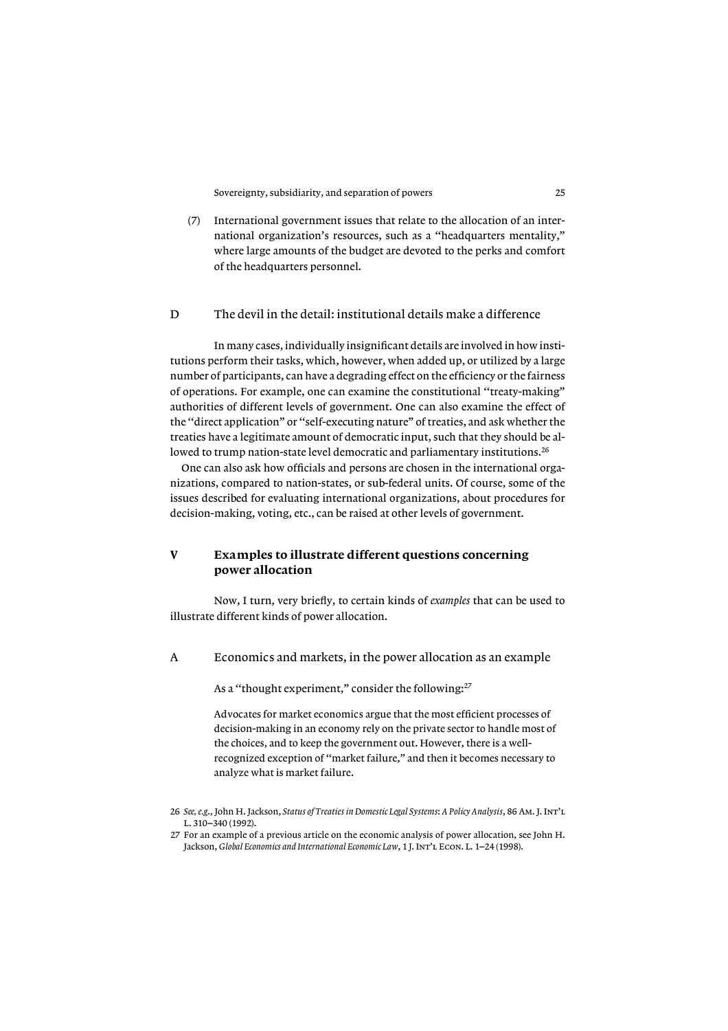(7) International government issues that relate to the allocation of an international organization's resources, such as a ''headquarters mentality," where large amounts of the budget are devoted to the perks and comfort of the headquarters personnel.

# D The devil in the detail: institutional details make a difference

In many cases, individually insignificant details are involved in how institutions perform their tasks, which, however, when added up, or utilized by a large number of participants, can have a degrading effect on the efficiency or the fairness of operations. For example, one can examine the constitutional ''treaty-making" authorities of different levels of government. One can also examine the effect of the ''direct application" or ''self-executing nature" of treaties, and ask whether the treaties have a legitimate amount of democratic input, such that they should be allowed to trump nation-state level democratic and parliamentary institutions.<sup>26</sup>

One can also ask how officials and persons are chosen in the international organizations, compared to nation-states, or sub-federal units. Of course, some of the issues described for evaluating international organizations, about procedures for decision-making, voting, etc., can be raised at other levels of government.

# V Examples to illustrate different questions concerning power allocation

Now, I turn, very briefly, to certain kinds of *examples* that can be used to illustrate different kinds of power allocation.

A Economics and markets, in the power allocation as an example

As a "thought experiment," consider the following:<sup>27</sup>

Advocates for market economics argue that the most efficient processes of decision-making in an economy rely on the private sector to handle most of the choices, and to keep the government out. However, there is a wellrecognized exception of ''market failure," and then it becomes necessary to analyze what is market failure.

<sup>26</sup> *See, e.g*., John H. Jackson, *Status of Treaties in Domestic Legal Systems*: *A Policy Analysis*, 86 Am. J. Int'l L. 310-340 (1992).

<sup>27</sup> For an example of a previous article on the economic analysis of power allocation, see John H. Jackson, *Global Economics and International Economic Law*, 1J. Int'l Econ. L. 1--24 (1998).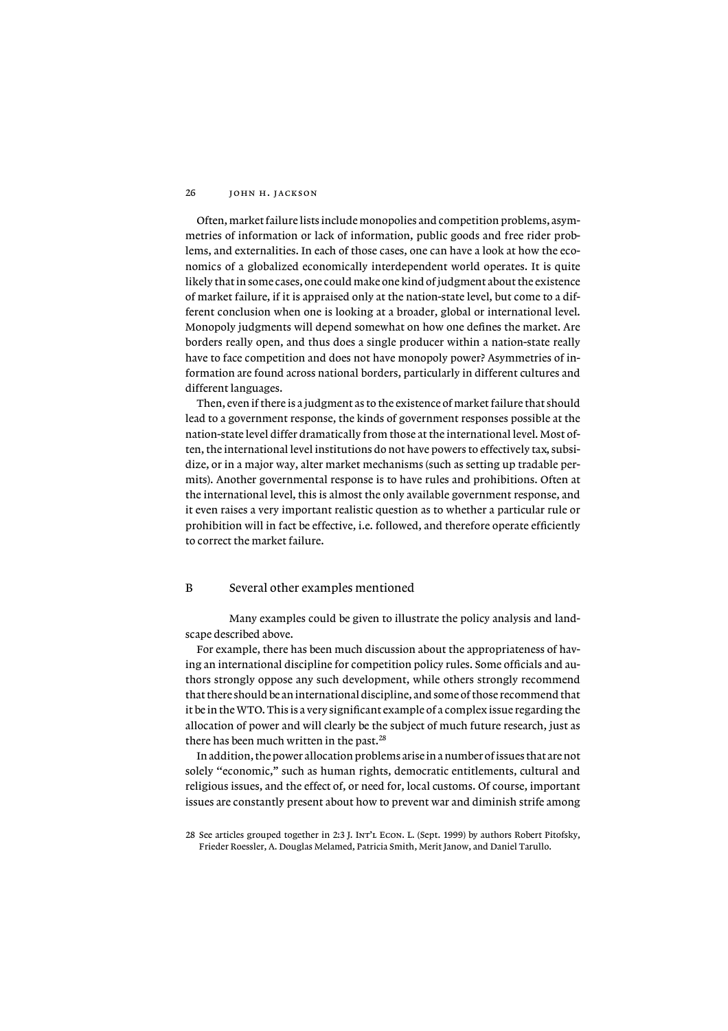Often, market failure lists include monopolies and competition problems, asymmetries of information or lack of information, public goods and free rider problems, and externalities. In each of those cases, one can have a look at how the economics of a globalized economically interdependent world operates. It is quite likely that in some cases, one could make one kind of judgment about the existence of market failure, if it is appraised only at the nation-state level, but come to a different conclusion when one is looking at a broader, global or international level. Monopoly judgments will depend somewhat on how one defines the market. Are borders really open, and thus does a single producer within a nation-state really have to face competition and does not have monopoly power? Asymmetries of information are found across national borders, particularly in different cultures and different languages.

Then, even if there is a judgment as to the existence of market failure that should lead to a government response, the kinds of government responses possible at the nation-state level differ dramatically from those at the international level. Most often, the international level institutions do not have powers to effectively tax, subsidize, or in a major way, alter market mechanisms (such as setting up tradable permits). Another governmental response is to have rules and prohibitions. Often at the international level, this is almost the only available government response, and it even raises a very important realistic question as to whether a particular rule or prohibition will in fact be effective, i.e. followed, and therefore operate efficiently to correct the market failure.

## B Several other examples mentioned

Many examples could be given to illustrate the policy analysis and landscape described above.

For example, there has been much discussion about the appropriateness of having an international discipline for competition policy rules. Some officials and authors strongly oppose any such development, while others strongly recommend that there should be an international discipline, and some of those recommend that it be in theWTO. This is a very significant example of a complex issue regarding the allocation of power and will clearly be the subject of much future research, just as there has been much written in the past.<sup>28</sup>

In addition, the power allocation problems arise in a number of issues that are not solely "economic," such as human rights, democratic entitlements, cultural and religious issues, and the effect of, or need for, local customs. Of course, important issues are constantly present about how to prevent war and diminish strife among

<sup>28</sup> See articles grouped together in 2:3 J. Int'l Econ. L. (Sept. 1999) by authors Robert Pitofsky, Frieder Roessler, A. Douglas Melamed, Patricia Smith, Merit Janow, and Daniel Tarullo.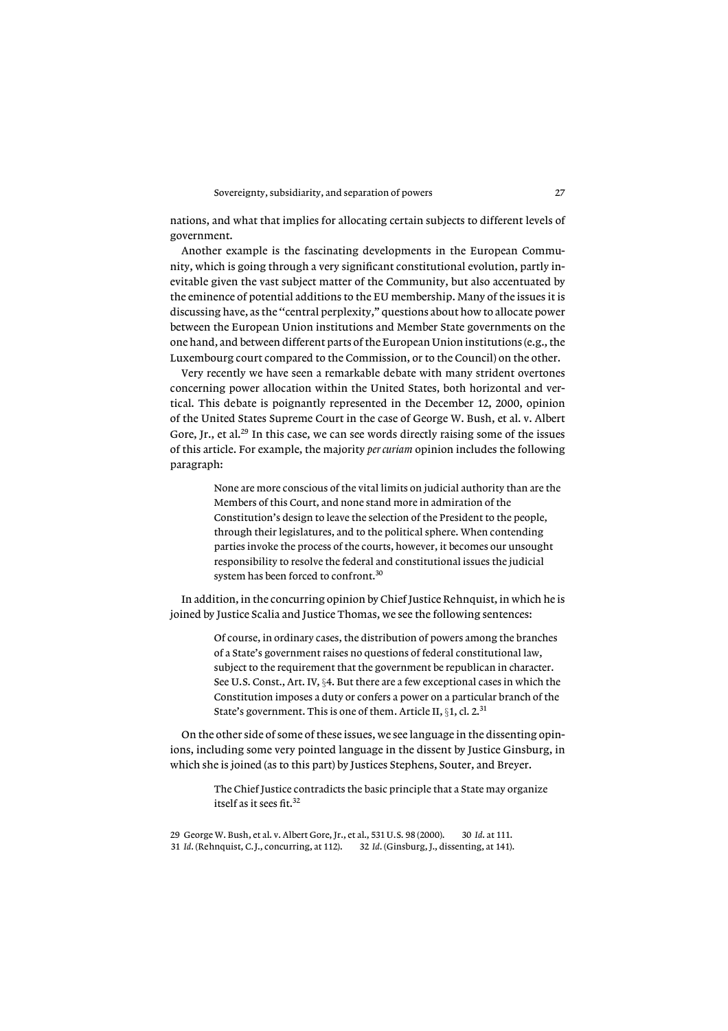nations, and what that implies for allocating certain subjects to different levels of government.

Another example is the fascinating developments in the European Community, which is going through a very significant constitutional evolution, partly inevitable given the vast subject matter of the Community, but also accentuated by the eminence of potential additions to the EU membership. Many of the issues it is discussing have, as the ''central perplexity," questions about how to allocate power between the European Union institutions and Member State governments on the one hand, and between different parts of the European Union institutions (e.g., the Luxembourg court compared to the Commission, or to the Council) on the other.

Very recently we have seen a remarkable debate with many strident overtones concerning power allocation within the United States, both horizontal and vertical. This debate is poignantly represented in the December 12, 2000, opinion of the United States Supreme Court in the case of George W. Bush, et al. v. Albert Gore, Jr., et al.<sup>29</sup> In this case, we can see words directly raising some of the issues of this article. For example, the majority *per curiam* opinion includes the following paragraph:

> None are more conscious of the vital limits on judicial authority than are the Members of this Court, and none stand more in admiration of the Constitution's design to leave the selection of the President to the people, through their legislatures, and to the political sphere. When contending parties invoke the process of the courts, however, it becomes our unsought responsibility to resolve the federal and constitutional issues the judicial system has been forced to confront.<sup>30</sup>

In addition, in the concurring opinion by Chief Justice Rehnquist, in which he is joined by Justice Scalia and Justice Thomas, we see the following sentences:

> Of course, in ordinary cases, the distribution of powers among the branches of a State's government raises no questions of federal constitutional law, subject to the requirement that the government be republican in character. See U.S. Const., Art. IV, *§*4. But there are a few exceptional cases in which the Constitution imposes a duty or confers a power on a particular branch of the State's government. This is one of them. Article II, *§*1, cl. 2. 31

On the other side of some of these issues, we see language in the dissenting opinions, including some very pointed language in the dissent by Justice Ginsburg, in which she is joined (as to this part) by Justices Stephens, Souter, and Breyer.

> The Chief Justice contradicts the basic principle that a State may organize itself as it sees fit.<sup>32</sup>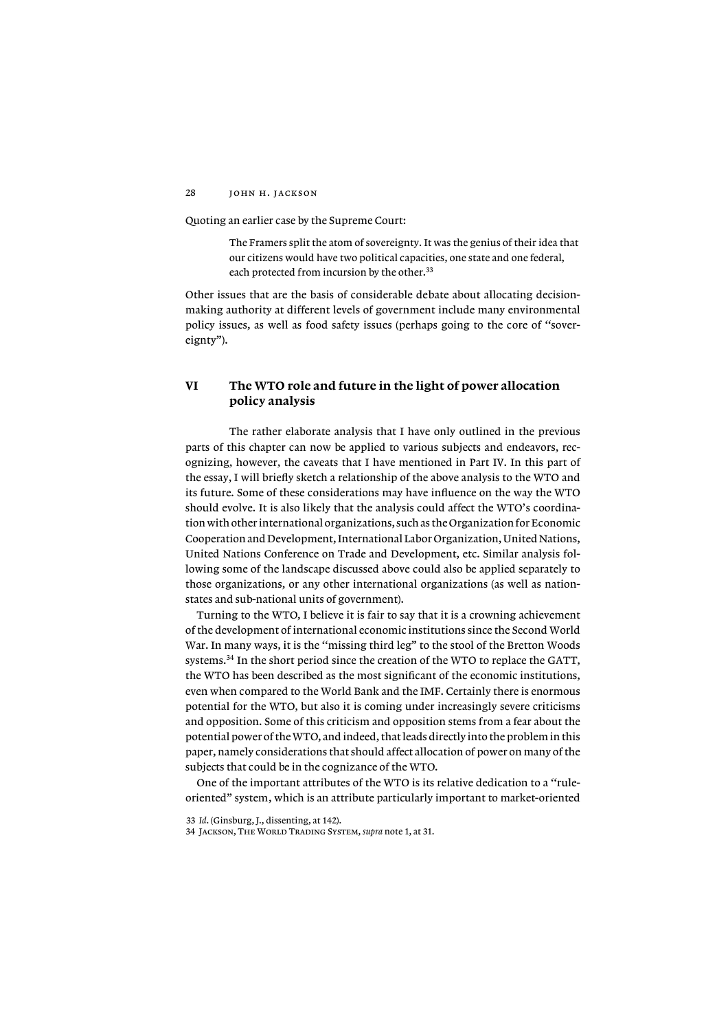Quoting an earlier case by the Supreme Court:

The Framers split the atom of sovereignty. It was the genius of their idea that our citizens would have two political capacities, one state and one federal, each protected from incursion by the other.<sup>33</sup>

Other issues that are the basis of considerable debate about allocating decisionmaking authority at different levels of government include many environmental policy issues, as well as food safety issues (perhaps going to the core of ''sovereignty").

# VI The WTO role and future in the light of power allocation policy analysis

The rather elaborate analysis that I have only outlined in the previous parts of this chapter can now be applied to various subjects and endeavors, recognizing, however, the caveats that I have mentioned in Part IV. In this part of the essay, I will briefly sketch a relationship of the above analysis to the WTO and its future. Some of these considerations may have influence on the way the WTO should evolve. It is also likely that the analysis could affect the WTO's coordination with other international organizations, such as the Organization for Economic Cooperation and Development, International Labor Organization, United Nations, United Nations Conference on Trade and Development, etc. Similar analysis following some of the landscape discussed above could also be applied separately to those organizations, or any other international organizations (as well as nationstates and sub-national units of government).

Turning to the WTO, I believe it is fair to say that it is a crowning achievement of the development of international economic institutions since the Second World War. In many ways, it is the "missing third leg" to the stool of the Bretton Woods systems.<sup>34</sup> In the short period since the creation of the WTO to replace the GATT, the WTO has been described as the most significant of the economic institutions, even when compared to the World Bank and the IMF. Certainly there is enormous potential for the WTO, but also it is coming under increasingly severe criticisms and opposition. Some of this criticism and opposition stems from a fear about the potential power of theWTO, and indeed, that leads directly into the problem in this paper, namely considerations that should affect allocation of power on many of the subjects that could be in the cognizance of the WTO.

One of the important attributes of the WTO is its relative dedication to a ''ruleoriented" system, which is an attribute particularly important to market-oriented

<sup>33</sup> *Id*. (Ginsburg, J., dissenting, at 142).

<sup>34</sup> Jackson, The World Trading System, *supra* note 1, at 31.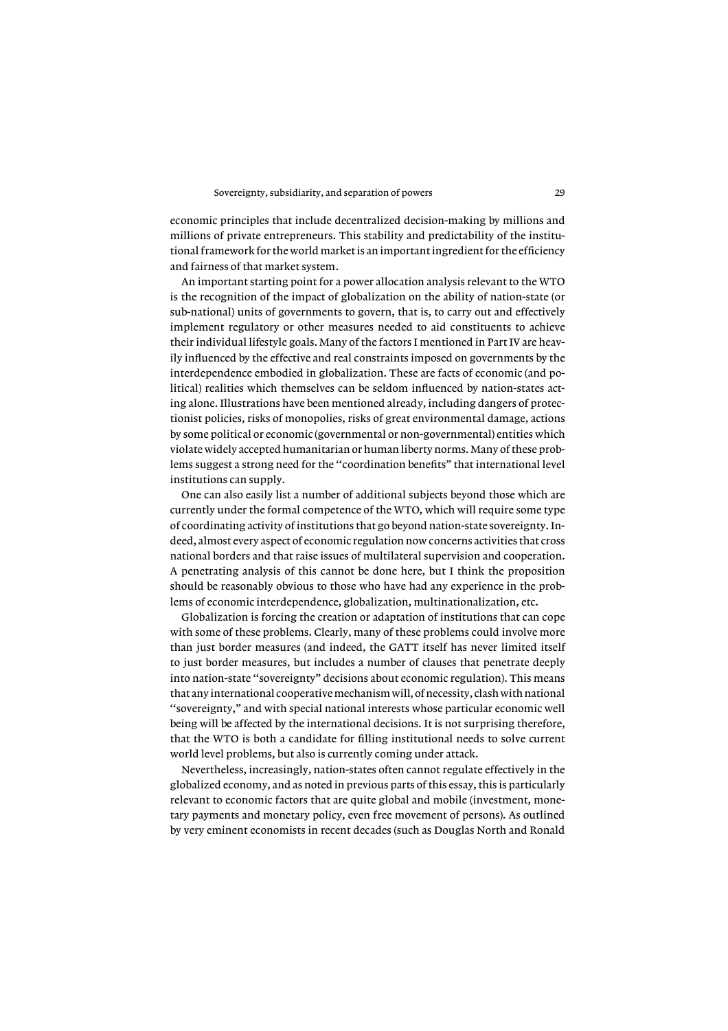economic principles that include decentralized decision-making by millions and millions of private entrepreneurs. This stability and predictability of the institutional framework for the worldmarket is an important ingredient for the efficiency and fairness of that market system.

An important starting point for a power allocation analysis relevant to the WTO is the recognition of the impact of globalization on the ability of nation-state (or sub-national) units of governments to govern, that is, to carry out and effectively implement regulatory or other measures needed to aid constituents to achieve their individual lifestyle goals. Many of the factors I mentioned in Part IV are heavily influenced by the effective and real constraints imposed on governments by the interdependence embodied in globalization. These are facts of economic (and political) realities which themselves can be seldom influenced by nation-states acting alone. Illustrations have been mentioned already, including dangers of protectionist policies, risks of monopolies, risks of great environmental damage, actions by some political or economic (governmental or non-governmental) entities which violate widely accepted humanitarian or human liberty norms. Many of these problems suggest a strong need for the ''coordination benefits" that international level institutions can supply.

One can also easily list a number of additional subjects beyond those which are currently under the formal competence of the WTO, which will require some type of coordinating activity of institutions that go beyond nation-state sovereignty. Indeed, almost every aspect of economic regulation now concerns activities that cross national borders and that raise issues of multilateral supervision and cooperation. A penetrating analysis of this cannot be done here, but I think the proposition should be reasonably obvious to those who have had any experience in the problems of economic interdependence, globalization, multinationalization, etc.

Globalization is forcing the creation or adaptation of institutions that can cope with some of these problems. Clearly, many of these problems could involve more than just border measures (and indeed, the GATT itself has never limited itself to just border measures, but includes a number of clauses that penetrate deeply into nation-state ''sovereignty" decisions about economic regulation). This means that any international cooperative mechanism will, of necessity, clash with national ''sovereignty," and with special national interests whose particular economic well being will be affected by the international decisions. It is not surprising therefore, that the WTO is both a candidate for filling institutional needs to solve current world level problems, but also is currently coming under attack.

Nevertheless, increasingly, nation-states often cannot regulate effectively in the globalized economy, and as noted in previous parts of this essay, this is particularly relevant to economic factors that are quite global and mobile (investment, monetary payments and monetary policy, even free movement of persons). As outlined by very eminent economists in recent decades (such as Douglas North and Ronald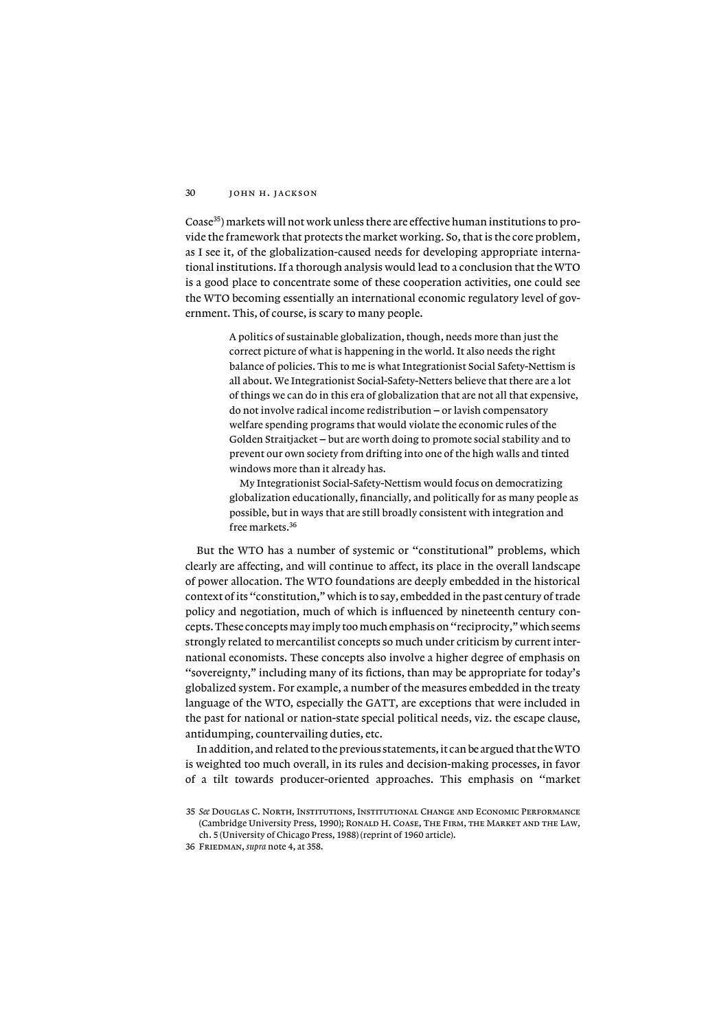Coase35) markets will not work unless there are effective human institutions to provide the framework that protects the market working. So, that is the core problem, as I see it, of the globalization-caused needs for developing appropriate international institutions. If a thorough analysis would lead to a conclusion that the WTO is a good place to concentrate some of these cooperation activities, one could see the WTO becoming essentially an international economic regulatory level of government. This, of course, is scary to many people.

> A politics of sustainable globalization, though, needs more than just the correct picture of what is happening in the world. It also needs the right balance of policies. This to me is what Integrationist Social Safety-Nettism is all about. We Integrationist Social-Safety-Netters believe that there are a lot of things we can do in this era of globalization that are not all that expensive, do not involve radical income redistribution - or lavish compensatory welfare spending programs that would violate the economic rules of the Golden Straitjacket – but are worth doing to promote social stability and to prevent our own society from drifting into one of the high walls and tinted windows more than it already has.

> My Integrationist Social-Safety-Nettism would focus on democratizing globalization educationally, financially, and politically for as many people as possible, but in ways that are still broadly consistent with integration and free markets.<sup>36</sup>

But the WTO has a number of systemic or ''constitutional" problems, which clearly are affecting, and will continue to affect, its place in the overall landscape of power allocation. The WTO foundations are deeply embedded in the historical context of its ''constitution," which is to say, embedded in the past century of trade policy and negotiation, much of which is influenced by nineteenth century concepts. These conceptsmay imply toomuch emphasis on ''reciprocity," which seems strongly related to mercantilist concepts so much under criticism by current international economists. These concepts also involve a higher degree of emphasis on ''sovereignty," including many of its fictions, than may be appropriate for today's globalized system. For example, a number of the measures embedded in the treaty language of the WTO, especially the GATT, are exceptions that were included in the past for national or nation-state special political needs, viz. the escape clause, antidumping, countervailing duties, etc.

In addition, and related to the previous statements, it can be argued that theWTO is weighted too much overall, in its rules and decision-making processes, in favor of a tilt towards producer-oriented approaches. This emphasis on ''market

36 Friedman, *supra* note 4, at 358.

<sup>35</sup> *See* Douglas C. North, Institutions, Institutional Change and Economic Performance (Cambridge University Press, 1990); RONALD H. COASE, THE FIRM, THE MARKET AND THE LAW, ch. 5 (University of Chicago Press, 1988) (reprint of 1960 article).